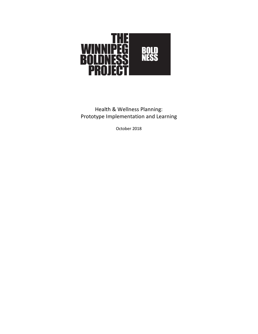

Health & Wellness Planning: Prototype Implementation and Learning

October 2018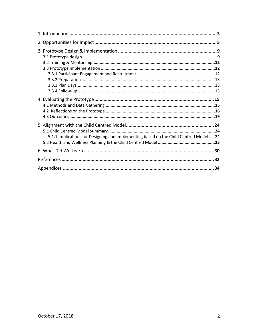| 5.1.1 Implications for Designing and Implementing based on the Child Centred Model24 |  |
|--------------------------------------------------------------------------------------|--|
|                                                                                      |  |
|                                                                                      |  |
|                                                                                      |  |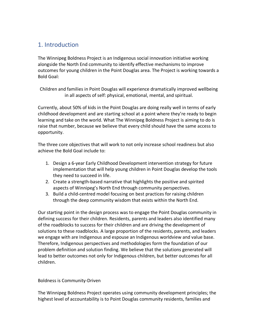## 1. Introduction

The Winnipeg Boldness Project is an Indigenous social innovation initiative working alongside the North End community to identify effective mechanisms to improve outcomes for young children in the Point Douglas area. The Project is working towards a Bold Goal:

Children and families in Point Douglas will experience dramatically improved wellbeing in all aspects of self: physical, emotional, mental, and spiritual.

Currently, about 50% of kids in the Point Douglas are doing really well in terms of early childhood development and are starting school at a point where they're ready to begin learning and take on the world. What The Winnipeg Boldness Project is aiming to do is raise that number, because we believe that every child should have the same access to opportunity.

The three core objectives that will work to not only increase school readiness but also achieve the Bold Goal include to:

- 1. Design a 6-year Early Childhood Development intervention strategy for future implementation that will help young children in Point Douglas develop the tools they need to succeed in life.
- 2. Create a strength-based narrative that highlights the positive and spirited aspects of Winnipeg's North End through community perspectives.
- 3. Build a child-centred model focusing on best practices for raising children through the deep community wisdom that exists within the North End.

Our starting point in the design process was to engage the Point Douglas community in defining success for their children. Residents, parents and leaders also identified many of the roadblocks to success for their children and are driving the development of solutions to these roadblocks. A large proportion of the residents, parents, and leaders we engage with are Indigenous and espouse an Indigenous worldview and value base. Therefore, Indigenous perspectives and methodologies form the foundation of our problem definition and solution finding. We believe that the solutions generated will lead to better outcomes not only for Indigenous children, but better outcomes for all children.

### Boldness is Community-Driven

The Winnipeg Boldness Project operates using community development principles; the highest level of accountability is to Point Douglas community residents, families and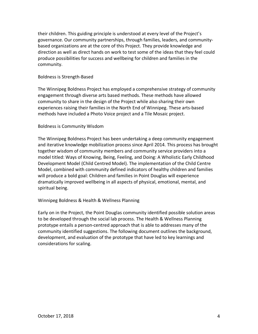their children. This guiding principle is understood at every level of the Project's governance. Our community partnerships, through families, leaders, and communitybased organizations are at the core of this Project. They provide knowledge and direction as well as direct hands on work to test some of the ideas that they feel could produce possibilities for success and wellbeing for children and families in the community.

#### Boldness is Strength-Based

The Winnipeg Boldness Project has employed a comprehensive strategy of community engagement through diverse arts based methods. These methods have allowed community to share in the design of the Project while also sharing their own experiences raising their families in the North End of Winnipeg. These arts-based methods have included a Photo Voice project and a Tile Mosaic project.

#### Boldness is Community Wisdom

The Winnipeg Boldness Project has been undertaking a deep community engagement and iterative knowledge mobilization process since April 2014. This process has brought together wisdom of community members and community service providers into a model titled: Ways of Knowing, Being, Feeling, and Doing: A Wholistic Early Childhood Development Model (Child Centred Model). The implementation of the Child Centre Model, combined with community defined indicators of healthy children and families will produce a bold goal: Children and families in Point Douglas will experience dramatically improved wellbeing in all aspects of physical, emotional, mental, and spiritual being.

#### Winnipeg Boldness & Health & Wellness Planning

Early on in the Project, the Point Douglas community identified possible solution areas to be developed through the social lab process. The Health & Wellness Planning prototype entails a person-centred approach that is able to addresses many of the community identified suggestions. The following document outlines the background, development, and evaluation of the prototype that have led to key learnings and considerations for scaling.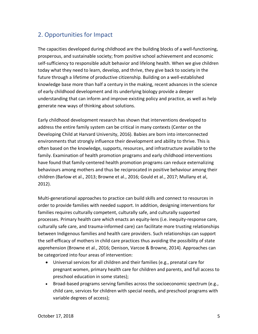## 2. Opportunities for Impact

The capacities developed during childhood are the building blocks of a well-functioning, prosperous, and sustainable society; from positive school achievement and economic self-sufficiency to responsible adult behavior and lifelong health. When we give children today what they need to learn, develop, and thrive, they give back to society in the future through a lifetime of productive citizenship. Building on a well-established knowledge base more than half a century in the making, recent advances in the science of early childhood development and its underlying biology provide a deeper understanding that can inform and improve existing policy and practice, as well as help generate new ways of thinking about solutions.

Early childhood development research has shown that interventions developed to address the entire family system can be critical in many contexts (Center on the Developing Child at Harvard University, 2016). Babies are born into interconnected environments that strongly influence their development and ability to thrive. This is often based on the knowledge, supports, resources, and infrastructure available to the family. Examination of health promotion programs and early childhood interventions have found that family-centered health promotion programs can reduce externalizing behaviours among mothers and thus be reciprocated in positive behaviour among their children (Barlow et al., 2013; Browne et al., 2016; Gould et al., 2017; Mullany et al, 2012).

Multi-generational approaches to practice can build skills and connect to resources in order to provide families with needed support. In addition, designing interventions for families requires culturally competent, culturally safe, and culturally supported processes. Primary health care which enacts an equity-lens (i.e. inequity-response care, culturally safe care, and trauma-informed care) can facilitate more trusting relationships between Indigenous families and health care providers. Such relationships can support the self-efficacy of mothers in child care practices thus avoiding the possibility of state apprehension (Browne et al., 2016; Denison, Varcoe & Browne, 2014). Approaches can be categorized into four areas of intervention:

- Universal services for all children and their families (e.g., prenatal care for pregnant women, primary health care for children and parents, and full access to preschool education in some states);
- Broad-based programs serving families across the socioeconomic spectrum (e.g., child care, services for children with special needs, and preschool programs with variable degrees of access);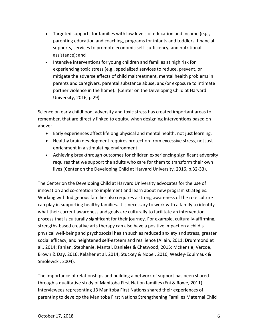- Targeted supports for families with low levels of education and income (e.g., parenting education and coaching, programs for infants and toddlers, financial supports, services to promote economic self- sufficiency, and nutritional assistance); and
- Intensive interventions for young children and families at high risk for experiencing toxic stress (e.g., specialized services to reduce, prevent, or mitigate the adverse effects of child maltreatment, mental health problems in parents and caregivers, parental substance abuse, and/or exposure to intimate partner violence in the home). (Center on the Developing Child at Harvard University, 2016, p.29)

Science on early childhood, adversity and toxic stress has created important areas to remember, that are directly linked to equity, when designing interventions based on above:

- Early experiences affect lifelong physical and mental health, not just learning.
- Healthy brain development requires protection from excessive stress, not just enrichment in a stimulating environment.
- Achieving breakthrough outcomes for children experiencing significant adversity requires that we support the adults who care for them to transform their own lives (Center on the Developing Child at Harvard University, 2016, p.32-33).

The Center on the Developing Child at Harvard University advocates for the use of innovation and co-creation to implement and learn about new program strategies. Working with Indigenous families also requires a strong awareness of the role culture can play in supporting healthy families. It is necessary to work with a family to identify what their current awareness and goals are culturally to facilitate an intervention process that is culturally significant for their journey. For example, culturally-affirming, strengths-based creative arts therapy can also have a positive impact on a child's physical well-being and psychosocial health such as reduced anxiety and stress, greater social efficacy, and heightened self-esteem and resilience (Allain, 2011; Drummond et al., 2014; Fanian, Stephanie, Mantal, Danieles & Chatwood, 2015; McKenzie, Varcoe, Brown & Day, 2016; Kelaher et al, 2014; Stuckey & Nobel, 2010; Wesley-Equimaux & Smolewski, 2004).

The importance of relationships and building a network of support has been shared through a qualitative study of Manitoba First Nation families (Eni & Rowe, 2011). Interviewees representing 13 Manitoba First Nations shared their experiences of parenting to develop the Manitoba First Nations Strengthening Families Maternal Child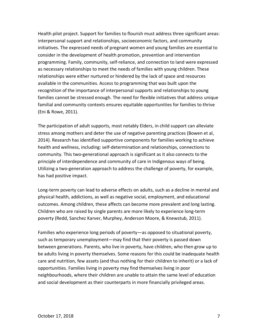Health pilot project. Support for families to flourish must address three significant areas: interpersonal support and relationships, socioeconomic factors, and community initiatives. The expressed needs of pregnant women and young families are essential to consider in the development of health promotion, prevention and intervention programming. Family, community, self-reliance, and connection to land were expressed as necessary relationships to meet the needs of families with young children. These relationships were either nurtured or hindered by the lack of space and resources available in the communities. Access to programming that was built upon the recognition of the importance of interpersonal supports and relationships to young families cannot be stressed enough. The need for flexible initiatives that address unique familial and community contexts ensures equitable opportunities for families to thrive (Eni & Rowe, 2011).

The participation of adult supports, most notably Elders, in child support can alleviate stress among mothers and deter the use of negative parenting practices (Bowen et al, 2014). Research has identified supportive components for families working to achieve health and wellness, including: self-determination and relationships, connections to community. This two-generational approach is significant as it also connects to the principle of interdependence and community of care in Indigenous ways of being. Utilizing a two-generation approach to address the challenge of poverty, for example, has had positive impact.

Long-term poverty can lead to adverse effects on adults, such as a decline in mental and physical health, addictions, as well as negative social, employment, and educational outcomes. Among children, these affects can become more prevalent and long lasting. Children who are raised by single parents are more likely to experience long-term poverty (Redd, Sanchez Karver, Murphey, Anderson Moore, & Knewstub, 2011).

Families who experience long periods of poverty—as opposed to situational poverty, such as temporary unemployment—may find that their poverty is passed down between generations. Parents, who live in poverty, have children, who then grow up to be adults living in poverty themselves. Some reasons for this could be inadequate health care and nutrition, few assets (and thus nothing for their children to inherit) or a lack of opportunities. Families living in poverty may find themselves living in poor neighbourhoods, where their children are unable to attain the same level of education and social development as their counterparts in more financially privileged areas.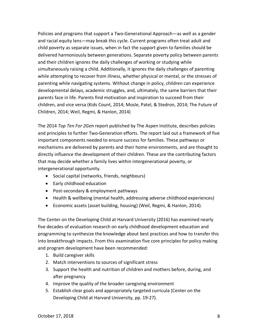Policies and programs that support a Two-Generational Approach—as well as a gender and racial equity lens—may break this cycle. Current programs often treat adult and child poverty as separate issues, when in fact the support given to families should be delivered harmoniously between generations. Separate poverty policy between parents and their children ignores the daily challenges of working or studying while simultaneously raising a child. Additionally, it ignores the daily challenges of parenting while attempting to recover from illness, whether physical or mental, or the stresses of parenting while navigating systems. Without change in policy, children can experience developmental delays, academic struggles, and, ultimately, the same barriers that their parents face in life. Parents find motivation and inspiration to succeed from their children, and vice versa (Kids Count, 2014; Mosle, Patel, & Stedron, 2014; The Future of Children, 2014; Weil, Regmi, & Hanlon, 2014)

The 2014 *Top Ten For 2Gen* report published by The Aspen Institute, describes policies and principles to further Two-Generation efforts. The report laid out a framework of five important components needed to ensure success for families. These pathways or mechanisms are delivered by parents and their home environments, and are thought to directly influence the development of their children. These are the contributing factors that may decide whether a family lives within intergenerational poverty, or intergenerational opportunity.

- Social capital (networks, friends, neighbours)
- Early childhood education
- Post-secondary & employment pathways
- Health & wellbeing (mental health, addressing adverse childhood experiences)
- Economic assets (asset building, housing) (Weil, Regmi, & Hanlon, 2014).

The Center on the Developing Child at Harvard University (2016) has examined nearly five decades of evaluation research on early childhood development education and programming to synthesize the knowledge about best practices and how to transfer this into breakthrough impacts. From this examination five core principles for policy making and program development have been recommended:

- 1. Build caregiver skills
- 2. Match interventions to sources of significant stress
- 3. Support the health and nutrition of children and mothers before, during, and after pregnancy
- 4. Improve the quality of the broader caregiving environment
- 5. Establish clear goals and appropriately targeted curricula (Center on the Developing Child at Harvard University, pp. 19-27).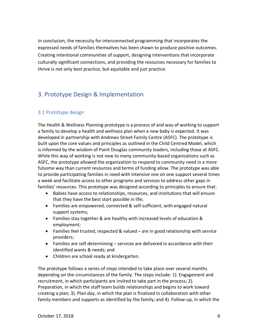In conclusion, the necessity for interconnected programming that incorporates the expressed needs of families themselves has been shown to produce positive outcomes. Creating intentional communities of support, designing interventions that incorporate culturally significant connections, and providing the resources necessary for families to thrive is not only best practice, but equitable and just practice.

## 3. Prototype Design & Implementation

### 3.1 Prototype design

The Health & Wellness Planning prototype is a process of and way of working to support a family to develop a health and wellness plan when a new baby is expected. It was developed in partnership with Andrews Street Family Centre (ASFC). The prototype is built upon the core values and principles as outlined in the Child Centred Model, which is informed by the wisdom of Point Douglas community leaders, including those at ASFC. While this way of working is not new to many community-based organizations such as ASFC, the prototype allowed the organization to respond to community need in a more fulsome way than current resources and terms of funding allow. The prototype was able to provide participating families in need with intensive one on one support several times a week and facilitate access to other programs and services to address other gaps in families' resources. This prototype was designed according to principles to ensure that:

- Babies have access to relationships, resources, and institutions that will ensure that they have the best start possible in life;
- Families are empowered, connected & self-sufficient, with engaged natural support systems;
- Families stay together & are healthy with increased levels of education & employment;
- Families feel trusted, respected & valued are in good relationship with service providers;
- Families are self-determining services are delivered in accordance with their identified wants & needs; and
- Children are school ready at kindergarten.

The prototype follows a series of steps intended to take place over several months depending on the circumstances of the family. The steps include: 1). Engagement and recruitment, in which participants are invited to take part in the process; 2). Preparation, in which the staff team builds relationships and begins to work toward creating a plan; 3). Plan day, in which the plan is finalized in collaboration with other family members and supports as identified by the family; and 4). Follow-up, in which the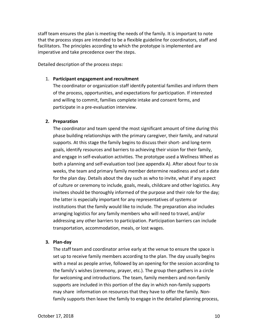staff team ensures the plan is meeting the needs of the family. It is important to note that the process steps are intended to be a flexible guideline for coordinators, staff and facilitators. The principles according to which the prototype is implemented are imperative and take precedence over the steps.

Detailed description of the process steps:

#### 1. **Participant engagement and recruitment**

The coordinator or organization staff identify potential families and inform them of the process, opportunities, and expectations for participation. If interested and willing to commit, families complete intake and consent forms, and participate in a pre-evaluation interview.

#### **2. Preparation**

The coordinator and team spend the most significant amount of time during this phase building relationships with the primary caregiver, their family, and natural supports. At this stage the family begins to discuss their short- and long-term goals, identify resources and barriers to achieving their vision for their family, and engage in self-evaluation activities. The prototype used a Wellness Wheel as both a planning and self-evaluation tool (see appendix A). After about four to six weeks, the team and primary family member determine readiness and set a date for the plan day. Details about the day such as who to invite, what if any aspect of culture or ceremony to include, goals, meals, childcare and other logistics. Any invitees should be thoroughly informed of the purpose and their role for the day; the latter is especially important for any representatives of systems or institutions that the family would like to include. The preparation also includes arranging logistics for any family members who will need to travel, and/or addressing any other barriers to participation. Participation barriers can include transportation, accommodation, meals, or lost wages.

#### **3. Plan-day**

The staff team and coordinator arrive early at the venue to ensure the space is set up to receive family members according to the plan. The day usually begins with a meal as people arrive, followed by an opening for the session according to the family's wishes (ceremony, prayer, etc.). The group then gathers in a circle for welcoming and introductions. The team, family members and non-family supports are included in this portion of the day in which non-family supports may share information on resources that they have to offer the family. Nonfamily supports then leave the family to engage in the detailed planning process,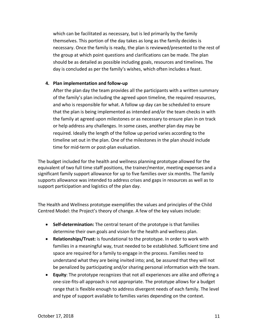which can be facilitated as necessary, but is led primarily by the family themselves. This portion of the day takes as long as the family decides is necessary. Once the family is ready, the plan is reviewed/presented to the rest of the group at which point questions and clarifications can be made. The plan should be as detailed as possible including goals, resources and timelines. The day is concluded as per the family's wishes, which often includes a feast.

#### **4. Plan implementation and follow-up**

After the plan day the team provides all the participants with a written summary of the family's plan including the agreed upon timeline, the required resources, and who is responsible for what. A follow up day can be scheduled to ensure that the plan is being implemented as intended and/or the team checks in with the family at agreed upon milestones or as necessary to ensure plan in on track or help address any challenges. In some cases, another plan day may be required. Ideally the length of the follow up period varies according to the timeline set out in the plan. One of the milestones in the plan should include time for mid-term or post-plan evaluation.

The budget included for the health and wellness planning prototype allowed for the equivalent of two full time staff positions, the trainer/mentor, meeting expenses and a significant family support allowance for up to five families over six months. The family supports allowance was intended to address crises and gaps in resources as well as to support participation and logistics of the plan day.

The Health and Wellness prototype exemplifies the values and principles of the Child Centred Model: the Project's theory of change. A few of the key values include:

- **Self-determination:** The central tenant of the prototype is that families determine their own goals and vision for the health and wellness plan.
- **Relationships/Trust:** is foundational to the prototype. In order to work with families in a meaningful way, trust needed to be established. Sufficient time and space are required for a family to engage in the process. Families need to understand what they are being invited into; and, be assured that they will not be penalized by participating and/or sharing personal information with the team.
- **Equity**: The prototype recognizes that not all experiences are alike and offering a one-size-fits-all approach is not appropriate. The prototype allows for a budget range that is flexible enough to address divergent needs of each family. The level and type of support available to families varies depending on the context.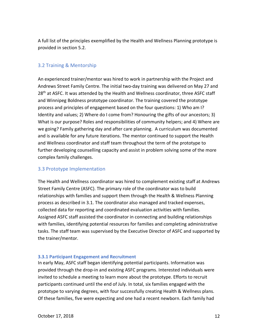A full list of the principles exemplified by the Health and Wellness Planning prototype is provided in section 5.2.

### 3.2 Training & Mentorship

An experienced trainer/mentor was hired to work in partnership with the Project and Andrews Street Family Centre. The initial two-day training was delivered on May 27 and 28<sup>th</sup> at ASFC. It was attended by the Health and Wellness coordinator, three ASFC staff and Winnipeg Boldness prototype coordinator. The training covered the prototype process and principles of engagement based on the four questions: 1) Who am I? Identity and values; 2) Where do I come from? Honouring the gifts of our ancestors; 3) What is our purpose? Roles and responsibilities of community helpers; and 4) Where are we going? Family gathering day and after care planning. A curriculum was documented and is available for any future iterations. The mentor continued to support the Health and Wellness coordinator and staff team throughout the term of the prototype to further developing counselling capacity and assist in problem solving some of the more complex family challenges.

### 3.3 Prototype Implementation

The Health and Wellness coordinator was hired to complement existing staff at Andrews Street Family Centre (ASFC). The primary role of the coordinator was to build relationships with families and support them through the Health & Wellness Planning process as described in 3.1. The coordinator also managed and tracked expenses, collected data for reporting and coordinated evaluation activities with families. Assigned ASFC staff assisted the coordinator in connecting and building relationships with families, identifying potential resources for families and completing administrative tasks. The staff team was supervised by the Executive Director of ASFC and supported by the trainer/mentor.

#### **3.3.1 Participant Engagement and Recruitment**

In early May, ASFC staff began identifying potential participants. Information was provided through the drop-in and existing ASFC programs. Interested individuals were invited to schedule a meeting to learn more about the prototype. Efforts to recruit participants continued until the end of July. In total, six families engaged with the prototype to varying degrees, with four successfully creating Health & Wellness plans. Of these families, five were expecting and one had a recent newborn. Each family had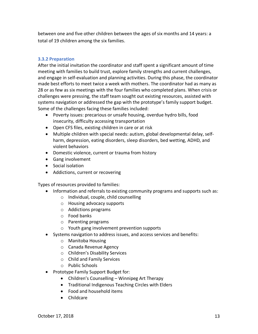between one and five other children between the ages of six months and 14 years: a total of 19 children among the six families.

#### **3.3.2 Preparation**

After the initial invitation the coordinator and staff spent a significant amount of time meeting with families to build trust, explore family strengths and current challenges, and engage in self-evaluation and planning activities. During this phase, the coordinator made best efforts to meet twice a week with mothers. The coordinator had as many as 28 or as few as six meetings with the four families who completed plans. When crisis or challenges were pressing, the staff team sought out existing resources, assisted with systems navigation or addressed the gap with the prototype's family support budget. Some of the challenges facing these families included:

- Poverty issues: precarious or unsafe housing, overdue hydro bills, food insecurity, difficulty accessing transportation
- Open CFS files, existing children in care or at risk
- Multiple children with special needs: autism, global developmental delay, selfharm, depression, eating disorders, sleep disorders, bed wetting, ADHD, and violent behaviors
- Domestic violence, current or trauma from history
- Gang involvement
- Social isolation
- Addictions, current or recovering

Types of resources provided to families:

- Information and referrals to existing community programs and supports such as:
	- o Individual, couple, child counselling
	- o Housing advocacy supports
	- o Addictions programs
	- o Food banks
	- o Parenting programs
	- o Youth gang involvement prevention supports
- Systems navigation to address issues, and access services and benefits:
	- o Manitoba Housing
	- o Canada Revenue Agency
	- o Children's Disability Services
	- o Child and Family Services
	- o Public Schools
- Prototype Family Support Budget for:
	- Children's Counselling Winnipeg Art Therapy
	- Traditional Indigenous Teaching Circles with Elders
	- Food and household items
	- Childcare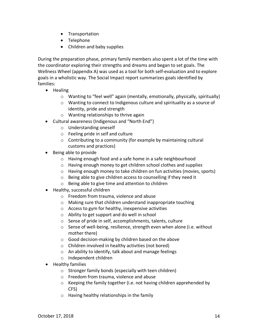- Transportation
- Telephone
- Children and baby supplies

During the preparation phase, primary family members also spent a lot of the time with the coordinator exploring their strengths and dreams and began to set goals. The Wellness Wheel (appendix A) was used as a tool for both self-evaluation and to explore goals in a wholistic way. The Social Impact report summarizes goals identified by families:

- Healing
	- $\circ$  Wanting to "feel well" again (mentally, emotionally, physically, spiritually)
	- o Wanting to connect to Indigenous culture and spirituality as a source of identity, pride and strength
	- o Wanting relationships to thrive again
- Cultural awareness (Indigenous and "North End")
	- o Understanding oneself
	- o Feeling pride in self and culture
	- o Contributing to a community (for example by maintaining cultural customs and practices)
- Being able to provide
	- o Having enough food and a safe home in a safe neighbourhood
	- o Having enough money to get children school clothes and supplies
	- o Having enough money to take children on fun activities (movies, sports)
	- o Being able to give children access to counselling if they need it
	- o Being able to give time and attention to children
- Healthy, successful children
	- o Freedom from trauma, violence and abuse
	- o Making sure that children understand inappropriate touching
	- o Access to gym for healthy, inexpensive activities
	- o Ability to get support and do well in school
	- o Sense of pride in self, accomplishments, talents, culture
	- o Sense of well-being, resilience, strength even when alone (i.e. without mother there)
	- o Good decision-making by children based on the above
	- o Children involved in healthy activities (not bored)
	- o An ability to identify, talk about and manage feelings
	- o Independent children
- Healthy families
	- o Stronger family bonds (especially with teen children)
	- o Freedom from trauma, violence and abuse
	- o Keeping the family together (i.e. not having children apprehended by CFS)
	- o Having healthy relationships in the family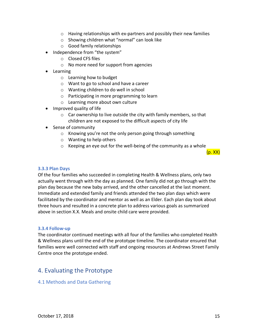- o Having relationships with ex-partners and possibly their new families
- o Showing children what "normal" can look like
- o Good family relationships
- Independence from "the system"
	- o Closed CFS files
	- o No more need for support from agencies
- Learning
	- o Learning how to budget
	- o Want to go to school and have a career
	- o Wanting children to do well in school
	- o Participating in more programming to learn
	- o Learning more about own culture
- Improved quality of life
	- $\circ$  Car ownership to live outside the city with family members, so that children are not exposed to the difficult aspects of city life
- Sense of community
	- o Knowing you're not the only person going through something
	- o Wanting to help others
	- o Keeping an eye out for the well-being of the community as a whole

 $(p. XX)$ 

#### **3.3.3 Plan Days**

Of the four families who succeeded in completing Health & Wellness plans, only two actually went through with the day as planned. One family did not go through with the plan day because the new baby arrived, and the other cancelled at the last moment. Immediate and extended family and friends attended the two plan days which were facilitated by the coordinator and mentor as well as an Elder. Each plan day took about three hours and resulted in a concrete plan to address various goals as summarized above in section X.X. Meals and onsite child care were provided.

#### **3.3.4 Follow-up**

The coordinator continued meetings with all four of the families who completed Health & Wellness plans until the end of the prototype timeline. The coordinator ensured that families were well connected with staff and ongoing resources at Andrews Street Family Centre once the prototype ended.

## 4. Evaluating the Prototype

#### 4.1 Methods and Data Gathering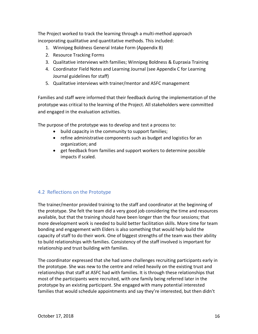The Project worked to track the learning through a multi-method approach incorporating qualitative and quantitative methods. This included:

- 1. Winnipeg Boldness General Intake Form (Appendix B)
- 2. Resource Tracking Forms
- 3. Qualitative interviews with families; Winnipeg Boldness & Eupraxia Training
- 4. Coordinator Field Notes and Learning Journal (see Appendix C for Learning Journal guidelines for staff)
- 5. Qualitative interviews with trainer/mentor and ASFC management

Families and staff were informed that their feedback during the implementation of the prototype was critical to the learning of the Project. All stakeholders were committed and engaged in the evaluation activities.

The purpose of the prototype was to develop and test a process to:

- build capacity in the community to support families;
- refine administrative components such as budget and logistics for an organization; and
- get feedback from families and support workers to determine possible impacts if scaled.

## 4.2 Reflections on the Prototype

The trainer/mentor provided training to the staff and coordinator at the beginning of the prototype. She felt the team did a very good job considering the time and resources available, but that the training should have been longer than the four sessions; that more development work is needed to build better facilitation skills. More time for team bonding and engagement with Elders is also something that would help build the capacity of staff to do their work. One of biggest strengths of the team was their ability to build relationships with families. Consistency of the staff involved is important for relationship and trust building with families.

The coordinator expressed that she had some challenges recruiting participants early in the prototype. She was new to the centre and relied heavily on the existing trust and relationships that staff at ASFC had with families. It is through these relationships that most of the participants were recruited, with one family being referred later in the prototype by an existing participant. She engaged with many potential interested families that would schedule appointments and say they're interested, but then didn't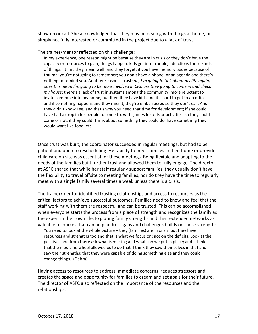show up or call. She acknowledged that they may be dealing with things at home, or simply not fully interested or committed in the project due to a lack of trust.

The trainer/mentor reflected on this challenge:

In my experience, one reason might be because they are in crisis or they don't have the capacity or resources to plan; things happen: kids get into trouble, addictions those kinds of things; I think they mean well, and they forget; if you have memory issues because of trauma; you're not going to remember; you don't have a phone, or an agenda and there's nothing to remind you. Another reason is trust: *oh, I'm going to talk about my life again, does this mean I'm going to be more involved in CFS, are they going to come in and check my house*; there's a lack of trust in systems among the community; more reluctant to invite someone into my home, but then they have kids and it's hard to get to an office, and if something happens and they miss it, they're embarrassed so they don't call; And they didn't know Lee, and that's why you need that time for development; if she could have had a drop in for people to come to, with games for kids or activities, so they could come or not, if they could. Think about something they could do, have something they would want like food, etc.

Once trust was built, the coordinator succeeded in regular meetings, but had to be patient and open to rescheduling. Her ability to meet families in their home or provide child care on site was essential for these meetings. Being flexible and adapting to the needs of the families built further trust and allowed them to fully engage. The director at ASFC shared that while her staff regularly support families, they usually don't have the flexibility to travel offsite to meeting families, nor do they have the time to regularly meet with a single family several times a week unless there is a crisis.

The trainer/mentor identified trusting relationships and access to resources as the critical factors to achieve successful outcomes. Families need to know and feel that the staff working with them are respectful and can be trusted. This can be accomplished when everyone starts the process from a place of strength and recognizes the family as the expert in their own life. Exploring family strengths and their extended networks as valuable resources that can help address gaps and challenges builds on those strengths. You need to look at the whole picture – they (families) are in crisis, but they have resources and strengths too and that is what we focus on; not on the deficits. Look at the positives and from there ask what is missing and what can we put in place; and I think that the medicine wheel allowed us to do that. I think they saw themselves in that and saw their strengths; that they were capable of doing something else and they could change things. (Debra)

Having access to resources to address immediate concerns, reduces stressors and creates the space and opportunity for families to dream and set goals for their future. The director of ASFC also reflected on the importance of the resources and the relationships: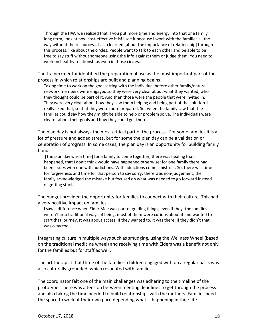Through the HW, we realized that if you put more time and energy into that one family long term, look at how cost-effective it is! I see it because I work with the families all the way without the resources… I also learned [about the importance of relationship] through this process, like about the circles. People want to talk to each other and be able to be free to say stuff without someone using the info against them or judge them. You need to work on healthy relationships even in those circles.

The trainer/mentor identified the preparation phase as the most important part of the process in which relationships are built and planning begins.

Taking time to work on the goal setting with the individual before other family/natural network members were engaged so they were very clear about what they wanted, who they thought could be part of it. And then those were the people that were invited in. They were very clear about how they saw them helping and being part of the solution. I really liked that, so that they were more prepared. So, when the family saw that, the families could say how they might be able to help or problem solve. The individuals were clearer about their goals and how they could get there.

The plan day is not always the most critical part of the process. For some families it is a lot of pressure and added stress, but for some the plan day can be a validation or celebration of progress. In some cases, the plan day is an opportunity for building family bonds.

[The plan day was a time] for a family to come together, there was healing that happened, that I don't think would have happened otherwise; for one family there had been issues with one with addictions. With addictions comes mistrust. So, there was time for forgiveness and time for that person to say sorry; there was non-judgement; the family acknowledged the mistake but focused on what was needed to go forward instead of getting stuck.

The budget provided the opportunity for families to connect with their culture. This had a very positive impact on families.

I saw a difference when Elder Mae was part of guiding things; even if they [the families] weren't into traditional ways of being, most of them were curious about it and wanted to start that journey. It was about access. If they wanted to, it was there; if they didn't that was okay too.

Integrating culture in multiple ways such as smudging, using the Wellness Wheel (based on the traditional medicine wheel) and receiving time with Elders was a benefit not only for the families but for staff as well.

The art therapist that three of the families' children engaged with on a regular basis was also culturally grounded, which resonated with families.

The coordinator felt one of the main challenges was adhering to the timeline of the prototype. There was a tension between meeting deadlines to get through the process and also taking the time needed to build relationships with the mothers. Families need the space to work at their own pace depending what is happening in their life.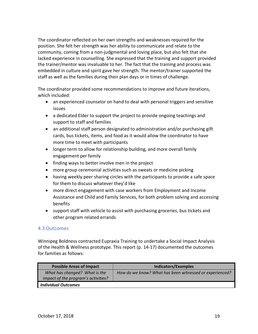The coordinator reflected on her own strengths and weaknesses required for the position. She felt her strength was her ability to communicate and relate to the community, coming from a non-judgmental and loving place, but also felt that she lacked experience in counselling. She expressed that the training and support provided the trainer/mentor was invaluable to her. The fact that the training and process was embedded in culture and spirit gave her strength. The mentor/trainer supported the staff as well as the families during their plan days or in times of challenge.

The coordinator provided some recommendations to improve and future iterations, which included:

- an experienced counselor on hand to deal with personal triggers and sensitive issues
- a dedicated Elder to support the project to provide ongoing teachings and support to staff and families
- an additional staff person designated to administration and/or purchasing gift cards, bus tickets, items, and food as it would allow the coordinator to have more time to meet with participants
- longer term to allow for relationship building, and more overall family engagement per family
- finding ways to better involve men in the project
- more group ceremonial activities such as sweats or medicine picking
- having weekly peer sharing circles with the participants to provide a safe space for them to discuss whatever they'd like
- more direct engagement with case workers from Employment and Income Assistance and Child and Family Services, for both problem solving and accessing benefits
- support staff with vehicle to assist with purchasing groceries, bus tickets and other program related errands

### 4.3 Outcomes

Winnipeg Boldness contracted Eupraxia Training to undertake a Social Impact Analysis of the Health & Wellness prototype. This report (p. 14-17) documented the outcomes for families as follows:

| <b>Possible Areas of Impact</b>                                      | <b>Indicators/Examples</b>                              |
|----------------------------------------------------------------------|---------------------------------------------------------|
| What has changed? What is the<br>impact of the program's activities? | How do we know? What has been witnessed or experienced? |
| <b>Individual Outcomes</b>                                           |                                                         |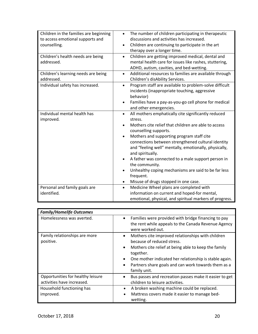| Children in the families are beginning<br>to access emotional supports and<br>counselling. | The number of children participating in therapeutic<br>$\bullet$<br>discussions and activities has increased.<br>Children are continuing to participate in the art<br>$\bullet$<br>therapy over a longer time.                                                                                                                                                                                                                                                                                                                                                                                    |
|--------------------------------------------------------------------------------------------|---------------------------------------------------------------------------------------------------------------------------------------------------------------------------------------------------------------------------------------------------------------------------------------------------------------------------------------------------------------------------------------------------------------------------------------------------------------------------------------------------------------------------------------------------------------------------------------------------|
| Children's health needs are being<br>addressed.                                            | Children are getting improved medical, dental and<br>$\bullet$<br>mental health care for issues like rashes, stuttering,<br>ADHD, autism, cavities, and bed-wetting.                                                                                                                                                                                                                                                                                                                                                                                                                              |
| Children's learning needs are being<br>addressed.                                          | Additional resources to families are available through<br>$\bullet$<br>Children's disAbility Services.                                                                                                                                                                                                                                                                                                                                                                                                                                                                                            |
| Individual safety has increased.                                                           | Program staff are available to problem-solve difficult<br>$\bullet$<br>incidents (inappropriate touching, aggressive<br>behavior)<br>Families have a pay-as-you-go cell phone for medical<br>$\bullet$<br>and other emergencies.                                                                                                                                                                                                                                                                                                                                                                  |
| Individual mental health has<br>improved.                                                  | All mothers emphatically cite significantly reduced<br>$\bullet$<br>stress.<br>Mothers cite relief that children are able to access<br>$\bullet$<br>counselling supports.<br>Mothers and supporting program staff cite<br>$\bullet$<br>connections between strengthened cultural identity<br>and "feeling well" mentally, emotionally, physically,<br>and spiritually.<br>A father was connected to a male support person in<br>$\bullet$<br>the community.<br>Unhealthy coping mechanisms are said to be far less<br>$\bullet$<br>frequent.<br>Misuse of drugs stopped in one case.<br>$\bullet$ |
| Personal and family goals are<br>identified.                                               | Medicine Wheel plans are completed with<br>$\bullet$<br>information on current and hoped-for mental,<br>emotional, physical, and spiritual markers of progress.                                                                                                                                                                                                                                                                                                                                                                                                                                   |

| <b>Family/Homelife Outcomes</b>                                 |                                                                                                                                                                                                                                                                                                    |  |
|-----------------------------------------------------------------|----------------------------------------------------------------------------------------------------------------------------------------------------------------------------------------------------------------------------------------------------------------------------------------------------|--|
| Homelessness was averted.                                       | Families were provided with bridge financing to pay<br>the rent while appeals to the Canada Revenue Agency<br>were worked out.                                                                                                                                                                     |  |
| Family relationships are more<br>positive.                      | Mothers cite improved relationships with children<br>because of reduced stress.<br>Mothers cite relief at being able to keep the family<br>together.<br>One mother indicated her relationship is stable again.<br>$\bullet$<br>Partners share goals and can work towards them as a<br>family unit. |  |
| Opportunities for healthy leisure<br>activities have increased. | Bus passes and recreation passes make it easier to get<br>children to leisure activities.                                                                                                                                                                                                          |  |
| Household functioning has<br>improved.                          | A broken washing machine could be replaced.<br>$\bullet$<br>Mattress covers made it easier to manage bed-<br>$\bullet$<br>wetting.                                                                                                                                                                 |  |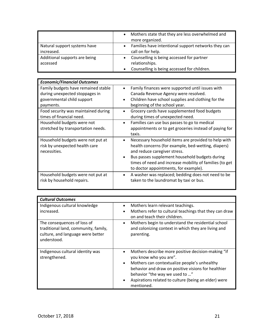|                                            | Mothers state that they are less overwhelmed and<br>more organized.                                        |
|--------------------------------------------|------------------------------------------------------------------------------------------------------------|
| Natural support systems have<br>increased. | Families have intentional support networks they can<br>call on for help.                                   |
| Additional supports are being<br>accessed  | Counselling is being accessed for partner<br>relationships.<br>Counselling is being accessed for children. |

| <b>Economic/Financial Outcomes</b>                                                                               |                                                                                                                                                                                                                                                                                                                    |
|------------------------------------------------------------------------------------------------------------------|--------------------------------------------------------------------------------------------------------------------------------------------------------------------------------------------------------------------------------------------------------------------------------------------------------------------|
| Family budgets have remained stable<br>during unexpected stoppages in<br>governmental child support<br>payments. | Family finances were supported until issues with<br>Canada Revenue Agency were resolved.<br>Children have school supplies and clothing for the<br>$\bullet$<br>beginning of the school year.                                                                                                                       |
| Food security was maintained during<br>times of financial need.                                                  | Grocery cards have supplemented food budgets<br>$\bullet$<br>during times of unexpected need.                                                                                                                                                                                                                      |
| Household budgets were not<br>stretched by transportation needs.                                                 | Families can use bus passes to go to medical<br>$\bullet$<br>appointments or to get groceries instead of paying for<br>taxis.                                                                                                                                                                                      |
| Household budgets were not put at<br>risk by unexpected health care<br>necessities.                              | Necessary household items are provided to help with<br>٠<br>health concerns (for example, bed-wetting, diapers)<br>and reduce caregiver stress.<br>Bus passes supplement household budgets during<br>$\bullet$<br>times of need and increase mobility of families (to get<br>to doctor appointments, for example). |
| Household budgets were not put at<br>risk by household repairs.                                                  | A washer was replaced; bedding does not need to be<br>$\bullet$<br>taken to the laundromat by taxi or bus.                                                                                                                                                                                                         |

| <b>Cultural Outcomes</b>                                                                                                |                                                                                                                                                                                                                                                                                                          |
|-------------------------------------------------------------------------------------------------------------------------|----------------------------------------------------------------------------------------------------------------------------------------------------------------------------------------------------------------------------------------------------------------------------------------------------------|
| Indigenous cultural knowledge<br>increased.                                                                             | Mothers learn relevant teachings.<br>$\bullet$<br>Mothers refer to cultural teachings that they can draw<br>on and teach their children.                                                                                                                                                                 |
| The consequences of loss of<br>traditional land, community, family,<br>culture, and language were better<br>understood. | Mothers begin to understand the residential school<br>$\bullet$<br>and colonizing context in which they are living and<br>parenting.                                                                                                                                                                     |
| Indigenous cultural identity was<br>strengthened.                                                                       | Mothers describe more positive decision-making "if<br>you know who you are".<br>Mothers can contextualize people's unhealthy<br>$\bullet$<br>behavior and draw on positive visions for healthier<br>behavior "the way we used to "<br>Aspirations related to culture (being an elder) were<br>mentioned. |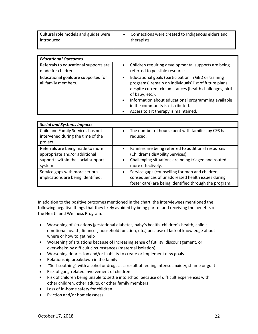| Cultural role models and guides were<br>introduced. | Connections were created to Indigenous elders and<br>therapists. |
|-----------------------------------------------------|------------------------------------------------------------------|
|                                                     |                                                                  |

| <b>Educational Outcomes</b>                                 |                                                                                                                                                                                                                                                                                                                                            |  |
|-------------------------------------------------------------|--------------------------------------------------------------------------------------------------------------------------------------------------------------------------------------------------------------------------------------------------------------------------------------------------------------------------------------------|--|
| Referrals to educational supports are<br>made for children. | Children requiring developmental supports are being<br>referred to possible resources.                                                                                                                                                                                                                                                     |  |
| Educational goals are supported for<br>all family members.  | Educational goals (participation in GED or training<br>programs) remain on individuals' list of future plans<br>despite current circumstances (health challenges, birth<br>of baby, etc.).<br>Information about educational programming available<br>$\bullet$<br>in the community is distributed.<br>Access to art therapy is maintained. |  |

| <b>Social and Systems Impacts</b>                                                                                  |                                                                                                                                                                                   |
|--------------------------------------------------------------------------------------------------------------------|-----------------------------------------------------------------------------------------------------------------------------------------------------------------------------------|
| Child and Family Services has not<br>intervened during the time of the<br>project.                                 | The number of hours spent with families by CFS has<br>reduced.                                                                                                                    |
| Referrals are being made to more<br>appropriate and/or additional<br>supports within the social support<br>system. | Families are being referred to additional resources<br>(Children's disAbility Services).<br>Challenging situations are being triaged and routed<br>$\bullet$<br>more effectively. |
| Service gaps with more serious<br>implications are being identified.                                               | Service gaps (counselling for men and children,<br>consequences of unaddressed health issues during<br>foster care) are being identified through the program.                     |

In addition to the positive outcomes mentioned in the chart, the interviewees mentioned the following negative things that they likely avoided by being part of and receiving the benefits of the Health and Wellness Program:

- Worsening of situations (gestational diabetes, baby's health, children's health, child's emotional health, finances, household function, etc.) because of lack of knowledge about where or how to get help
- Worsening of situations because of increasing sense of futility, discouragement, or overwhelm by difficult circumstances (maternal isolation)
- Worsening depression and/or inability to create or implement new goals
- Relationship breakdown in the family
- "Self-soothing" with alcohol or drugs as a result of feeling intense anxiety, shame or guilt
- Risk of gang-related involvement of children
- Risk of children being unable to settle into school because of difficult experiences with other children, other adults, or other family members
- Loss of in-home safety for children
- Eviction and/or homelessness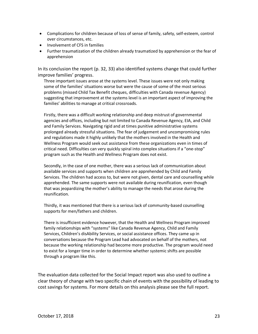- Complications for children because of loss of sense of family, safety, self-esteem, control over circumstances, etc.
- Involvement of CFS in families
- Further traumatization of the children already traumatized by apprehension or the fear of apprehension

In its conclusion the report (p. 32, 33) also identified systems change that could further improve families' progress.

Three important issues arose at the systems level. These issues were not only making some of the families' situations worse but were the cause of some of the most serious problems (missed Child Tax Benefit cheques, difficulties with Canada revenue Agency) suggesting that improvement at the systems level is an important aspect of improving the families' abilities to manage at critical crossroads.

Firstly, there was a difficult working relationship and deep mistrust of governmental agencies and offices, including but not limited to Canada Revenue Agency, EIA, and Child and Family Services. Navigating rigid and at times punitive administrative systems prolonged already stressful situations. The fear of judgement and uncompromising rules and regulations made it highly unlikely that the mothers involved in the Health and Wellness Program would seek out assistance from these organizations even in times of critical need. Difficulties can very quickly spiral into complex situations if a "one-stop" program such as the Health and Wellness Program does not exist.

Secondly, in the case of one mother, there was a serious lack of communication about available services and supports when children are apprehended by Child and Family Services. The children had access to, but were not given, dental care and counselling while apprehended. The same supports were not available during reunification, even though that was jeopardizing the mother's ability to manage the needs that arose during the reunification.

Thirdly, it was mentioned that there is a serious lack of community-based counselling supports for men/fathers and children.

There is insufficient evidence however, that the Health and Wellness Program improved family relationships with "systems" like Canada Revenue Agency, Child and Family Services, Children's disAbility Services, or social assistance offices. They came up in conversations because the Program Lead had advocated on behalf of the mothers, not because the working relationship had become more productive. The program would need to exist for a longer time in order to determine whether systemic shifts are possible through a program like this.

The evaluation data collected for the Social Impact report was also used to outline a clear theory of change with two specific chain of events with the possibility of leading to cost savings for systems. For more details on this analysis please see the full report.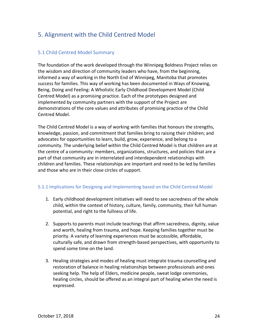## 5. Alignment with the Child Centred Model

## 5.1 Child Centred Model Summary

The foundation of the work developed through the Winnipeg Boldness Project relies on the wisdom and direction of community leaders who have, from the beginning, informed a way of working in the North End of Winnipeg, Manitoba that promotes success for families. This way of working has been documented in Ways of Knowing, Being, Doing and Feeling: A Wholistic Early Childhood Development Model (Child Centred Model) as a promising practice. Each of the prototypes designed and implemented by community partners with the support of the Project are demonstrations of the core values and attributes of promising practice of the Child Centred Model.

The Child Centred Model is a way of working with families that honours the strengths, knowledge, passion, and commitment that families bring to raising their children; and advocates for opportunities to learn, build, grow, experience, and belong to a community. The underlying belief within the Child Centred Model is that children are at the centre of a community: members, organizations, structures, and policies that are a part of that community are in interrelated and interdependent relationships with children and families. These relationships are important and need to be led by families and those who are in their close circles of support.

#### 5.1.1 Implications for Designing and Implementing based on the Child Centred Model

- 1. Early childhood development initiatives will need to see sacredness of the whole child, within the context of history, culture, family, community, their full human potential, and right to the fullness of life.
- 2. Supports to parents must include teachings that affirm sacredness, dignity, value and worth, healing from trauma, and hope. Keeping families together must be priority. A variety of learning experiences must be accessible, affordable, culturally safe, and drawn from strength-based perspectives, with opportunity to spend some time on the land.
- 3. Healing strategies and modes of healing must integrate trauma counselling and restoration of balance in healing relationships between professionals and ones seeking help. The help of Elders, medicine people, sweat lodge ceremonies, healing circles, should be offered as an integral part of healing when the need is expressed.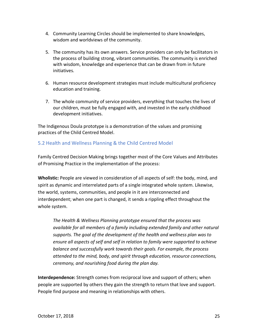- 4. Community Learning Circles should be implemented to share knowledges, wisdom and worldviews of the community.
- 5. The community has its own answers. Service providers can only be facilitators in the process of building strong, vibrant communities. The community is enriched with wisdom, knowledge and experience that can be drawn from in future initiatives.
- 6. Human resource development strategies must include multicultural proficiency education and training.
- 7. The whole community of service providers, everything that touches the lives of our children, must be fully engaged with, and invested in the early childhood development initiatives.

The Indigenous Doula prototype is a demonstration of the values and promising practices of the Child Centred Model.

## 5.2 Health and Wellness Planning & the Child Centred Model

Family Centred Decision Making brings together most of the Core Values and Attributes of Promising Practice in the implementation of the process:

**Wholistic:** People are viewed in consideration of all aspects of self: the body, mind, and spirit as dynamic and interrelated parts of a single integrated whole system. Likewise, the world, systems, communities, and people in it are interconnected and interdependent; when one part is changed, it sends a rippling effect throughout the whole system.

*The Health & Wellness Planning prototype ensured that the process was available for all members of a family including extended family and other natural supports. The goal of the development of the health and wellness plan was to ensure all aspects of self and self in relation to family were supported to achieve balance and successfully work towards their goals. For example, the process attended to the mind, body, and spirit through education, resource connections, ceremony, and nourishing food during the plan day.*

**Interdependence:** Strength comes from reciprocal love and support of others; when people are supported by others they gain the strength to return that love and support. People find purpose and meaning in relationships with others.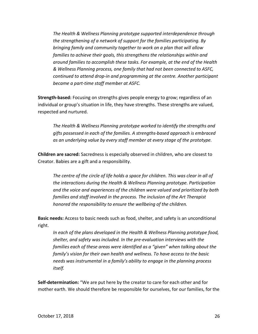*The Health & Wellness Planning prototype supported interdependence through the strengthening of a network of support for the families participating. By bringing family and community together to work on a plan that will allow families to achieve their goals, this strengthens the relationships within and around families to accomplish these tasks. For example, at the end of the Health & Wellness Planning process, one family that had not been connected to ASFC, continued to attend drop-in and programming at the centre. Another participant became a part-time staff member at ASFC.*

**Strength-based:** Focusing on strengths gives people energy to grow; regardless of an individual or group's situation in life, they have strengths. These strengths are valued, respected and nurtured.

*The Health & Wellness Planning prototype worked to identify the strengths and gifts possessed in each of the families. A strengths-based approach is embraced as an underlying value by every staff member at every stage of the prototype.* 

**Children are sacred:** Sacredness is especially observed in children, who are closest to Creator. Babies are a gift and a responsibility.

*The centre of the circle of life holds a space for children. This was clear in all of the interactions during the Health & Wellness Planning prototype. Participation and the voice and experiences of the children were valued and prioritized by both families and staff involved in the process. The inclusion of the Art Therapist honored the responsibility to ensure the wellbeing of the children.*

**Basic needs:** Access to basic needs such as food, shelter, and safety is an unconditional right.

*In each of the plans developed in the Health & Wellness Planning prototype food, shelter, and safety was included. In the pre-evaluation interviews with the families each of these areas were identified as a "given" when talking about the family's vision for their own health and wellness. To have access to the basic needs was instrumental in a family's ability to engage in the planning process itself.* 

**Self-determination:** "We are put here by the creator to care for each other and for mother earth. We should therefore be responsible for ourselves, for our families, for the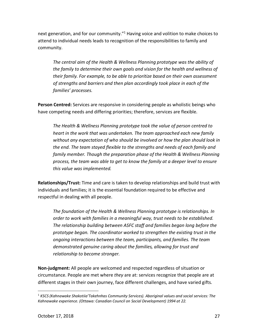next generation, and for our community."<sup>1</sup> Having voice and volition to make choices to attend to individual needs leads to recognition of the responsibilities to family and community.

*The central aim of the Health & Wellness Planning prototype was the ability of the family to determine their own goals and vision for the health and wellness of their family. For example, to be able to prioritize based on their own assessment of strengths and barriers and then plan accordingly took place in each of the families' processes.*

**Person Centred:** Services are responsive in considering people as wholistic beings who have competing needs and differing priorities; therefore, services are flexible.

*The Health & Wellness Planning prototype took the value of person centred to heart in the work that was undertaken. The team approached each new family without any expectation of who should be involved or how the plan should look in the end. The team stayed flexible to the strengths and needs of each family and family member. Though the preparation phase of the Health & Wellness Planning process, the team was able to get to know the family at a deeper level to ensure this value was implemented.*

**Relationships/Trust:** Time and care is taken to develop relationships and build trust with individuals and families; it is the essential foundation required to be effective and respectful in dealing with all people.

*The foundation of the Health & Wellness Planning prototype is relationships. In order to work with families in a meaningful way, trust needs to be established. The relationship building between ASFC staff and families began long before the prototype began. The coordinator worked to strengthen the existing trust in the ongoing interactions between the team, participants, and families. The team demonstrated genuine caring about the families, allowing for trust and relationship to become stronger.*

**Non-judgment:** All people are welcomed and respected regardless of situation or circumstance. People are met where *they* are at: services recognize that people are at different stages in their own journey, face different challenges, and have varied gifts.

 <sup>1</sup> *KSCS (Kahnawake Shakotiia'Takehnhas Community Services). Aboriginal values and social services: The Kahnawake experience. (Ottawa: Canadian Council on Social Development) 1994 at 22.*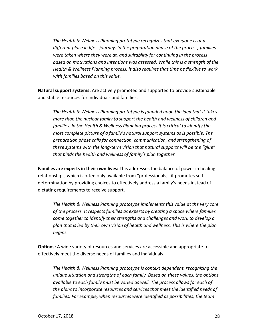*The Health & Wellness Planning prototype recognizes that everyone is at a different place in life's journey. In the preparation phase of the process, families were taken where they were at, and suitability for continuing in the process based on motivations and intentions was assessed. While this is a strength of the Health & Wellness Planning process, it also requires that time be flexible to work with families based on this value.* 

**Natural support systems:** Are actively promoted and supported to provide sustainable and stable resources for individuals and families.

*The Health & Wellness Planning prototype is founded upon the idea that it takes more than the nuclear family to support the health and wellness of children and families. In the Health & Wellness Planning process it is critical to identify the most complete picture of a family's natural support systems as is possible. The preparation phase calls for connection, communication, and strengthening of these systems with the long-term vision that natural supports will be the "glue" that binds the health and wellness of family's plan together.* 

**Families are experts in their own lives:** This addresses the balance of power in healing relationships, which is often only available from "professionals;" it promotes selfdetermination by providing choices to effectively address a family's needs instead of dictating requirements to receive support.

*The Health & Wellness Planning prototype implements this value at the very core of the process. It respects families as experts by creating a space where families come together to identify their strengths and challenges and work to develop a plan that is led by their own vision of health and wellness. This is where the plan begins.* 

**Options:** A wide variety of resources and services are accessible and appropriate to effectively meet the diverse needs of families and individuals.

*The Health & Wellness Planning prototype is context dependent, recognizing the unique situation and strengths of each family. Based on these values, the options available to each family must be varied as well. The process allows for each of the plans to incorporate resources and services that meet the identified needs of families. For example, when resources were identified as possibilities, the team*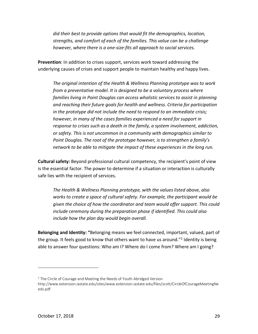*did their best to provide options that would fit the demographics, location, strengths, and comfort of each of the families. This value can be a challenge however, where there is a one-size-fits all approach to social services.* 

**Prevention**: In addition to crises support, services work toward addressing the underlying causes of crises and support people to maintain healthy and happy lives.

*The original intention of the Health & Wellness Planning prototype was to work from a preventative model. It is designed to be a voluntary process where families living in Point Douglas can access wholistic services to assist in planning and reaching their future goals for health and wellness. Criteria for participation in the prototype did not include the need to respond to an immediate crisis; however, in many of the cases families experienced a need for support in response to crises such as a death in the family, a system involvement, addiction, or safety. This is not uncommon in a community with demographics similar to Point Douglas. The root of the prototype however, is to strengthen a family's network to be able to mitigate the impact of these experiences in the long run.*

**Cultural safety:** Beyond professional cultural competency, the recipient's point of view is the essential factor. The power to determine if a situation or interaction is culturally safe lies with the recipient of services.

*The Health & Wellness Planning prototype, with the values listed above, also works to create a space of cultural safety. For example, the participant would be given the choice of how the coordinator and team would offer support. This could include ceremony during the preparation phase if identified. This could also include how the plan day would begin overall.* 

**Belonging and Identity: "**Belonging means we feel connected, important, valued, part of the group. It feels good to know that others want to have us around."<sup>2</sup> Identity is being able to answer four questions: Who am I? Where do I come from? Where am I going?

 $\overline{a}$ 

 $2$  The Circle of Courage and Meeting the Needs of Youth Abridged Version

http://www.extension.iastate.edu/sites/www.extension.iastate.edu/files/scott/CircleOfCourageMeetingNe eds.pdf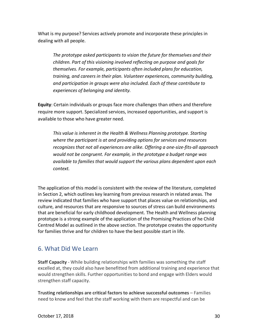What is my purpose? Services actively promote and incorporate these principles in dealing with all people.

*The prototype asked participants to vision the future for themselves and their children. Part of this visioning involved reflecting on purpose and goals for themselves. For example, participants often included plans for education, training, and careers in their plan. Volunteer experiences, community building, and participation in groups were also included. Each of these contribute to experiences of belonging and identity.* 

**Equity**: Certain individuals or groups face more challenges than others and therefore require more support. Specialized services, increased opportunities, and support is available to those who have greater need.

*This value is inherent in the Health & Wellness Planning prototype. Starting where the participant is at and providing options for services and resources recognizes that not all experiences are alike. Offering a one-size-fits-all approach would not be congruent. For example, in the prototype a budget range was available to families that would support the various plans dependent upon each context.* 

The application of this model is consistent with the review of the literature, completed in Section 2, which outlines key learning from previous research in related areas. The review indicated that families who have support that places value on relationships, and culture, and resources that are responsive to sources of stress can build environments that are beneficial for early childhood development. The Health and Wellness planning prototype is a strong example of the application of the Promising Practices of he Child Centred Model as outlined in the above section. The prototype creates the opportunity for families thrive and for children to have the best possible start in life.

## 6. What Did We Learn

**Staff Capacity** - While building relationships with families was something the staff excelled at, they could also have benefitted from additional training and experience that would strengthen skills. Further opportunities to bond and engage with Elders would strengthen staff capacity.

**Trusting relationships are critical factors to achieve successful outcomes** – Families need to know and feel that the staff working with them are respectful and can be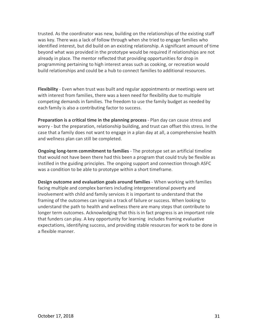trusted. As the coordinator was new, building on the relationships of the existing staff was key. There was a lack of follow through when she tried to engage families who identified interest, but did build on an existing relationship. A significant amount of time beyond what was provided in the prototype would be required if relationships are not already in place. The mentor reflected that providing opportunities for drop in programming pertaining to high interest areas such as cooking, or recreation would build relationships and could be a hub to connect families to additional resources.

**Flexibility** - Even when trust was built and regular appointments or meetings were set with interest from families, there was a keen need for flexibility due to multiple competing demands in families. The freedom to use the family budget as needed by each family is also a contributing factor to success.

**Preparation is a critical time in the planning process** - Plan day can cause stress and worry - but the preparation, relationship building, and trust can offset this stress. In the case that a family does not want to engage in a plan day at all, a comprehensive health and wellness plan can still be completed.

**Ongoing long-term commitment to families** - The prototype set an artificial timeline that would not have been there had this been a program that could truly be flexible as instilled in the guiding principles. The ongoing support and connection through ASFC was a condition to be able to prototype within a short timeframe.

**Design outcome and evaluation goals around families** - When working with families facing multiple and complex barriers including intergenerational poverty and involvement with child and family services it is important to understand that the framing of the outcomes can ingrain a track of failure or success. When looking to understand the path to health and wellness there are many steps that contribute to longer term outcomes. Acknowledging that this is in fact progress is an important role that funders can play. A key opportunity for learning includes framing evaluative expectations, identifying success, and providing stable resources for work to be done in a flexible manner.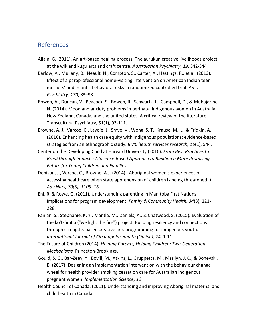## References

- Allain, G. (2011). An art-based healing process: The aurukun creative livelihoods project at the wik and kugu arts and craft centre. *Australasian Psychiatry, 19*, S42-S44
- Barlow, A., Mullany, B., Neault, N., Compton, S., Carter, A., Hastings, R., et al. (2013). Effect of a paraprofessional home-visiting intervention on American Indian teen mothers' and infants' behavioral risks: a randomized controlled trial. *Am J Psychiatry, 170*, 83–93.
- Bowen, A., Duncan, V., Peacock, S., Bowen, R., Schwartz, L., Campbell, D., & Muhajarine, N. (2014). Mood and anxiety problems in perinatal indigenous women in Australia, New Zealand, Canada, and the united states: A critical review of the literature. Transcultural Psychiatry, 51(1), 93-111.
- Browne, A. J., Varcoe, C., Lavoie, J., Smye, V., Wong, S. T., Krause, M., ... & Fridkin, A. (2016). Enhancing health care equity with Indigenous populations: evidence-based strategies from an ethnographic study. *BMC health services research, 16*(1), 544.
- Center on the Developing Child at Harvard University (2016). *From Best Practices to Breakthrough Impacts: A Science-Based Approach to Building a More Promising Future for Young Children and Families.*
- Denison, J., Varcoe, C., Browne, A.J. (2014). Aboriginal women's experiences of accessing healthcare when state apprehension of children is being threatened. *J Adv Nurs, 70(5), 1105–16.*
- Eni, R. & Rowe, G. (2011). Understanding parenting in Manitoba First Nations: Implications for program development. *Family & Community Health, 34*(3), 221- 228.
- Fanian, S., Stephanie, K. Y., Mantla, M., Daniels, A., & Chatwood, S. (2015). Evaluation of the ko'ts'iihtla ("we light the fire") project: Building resiliency and connections through strengths-based creative arts programming for indigenous youth. *International Journal of Circumpolar Health (Online), 74*, 1-11
- The Future of Children (2014). *Helping Parents, Helping Children: Two-Generation Mechanisms.* Princeton-Brookings.
- Gould, S. G., Bar-Zeev, Y., Bovill, M., Atkins, L., Gruppetta, M., Marilyn, J. C., & Bonevski, B. (2017). Designing an implementation intervention with the behaviour change wheel for health provider smoking cessation care for Australian indigenous pregnant women. *Implementation Science, 12*
- Health Council of Canada. (2011). Understanding and improving Aboriginal maternal and child health in Canada.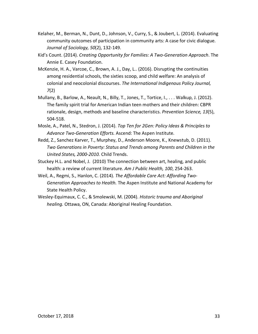- Kelaher, M., Berman, N., Dunt, D., Johnson, V., Curry, S., & Joubert, L. (2014). Evaluating community outcomes of participation in community arts: A case for civic dialogue. *Journal of Sociology, 50*(2), 132-149.
- Kid's Count. (2014). *Creating Opportunity for Families: A Two-Generation Approach*. The Annie E. Casey Foundation.
- McKenzie, H. A., Varcoe, C., Brown, A. J., Day, L.. (2016). Disrupting the continuities among residential schools, the sixties scoop, and child welfare: An analysis of colonial and neocolonial discourses. *The International Indigenous Policy Journal, 7*(2)
- Mullany, B., Barlow, A., Neault, N., Billy, T., Jones, T., Tortice, I., . . . Walkup, J. (2012). The family spirit trial for American Indian teen mothers and their children: CBPR rationale, design, methods and baseline characteristics. *Prevention Science, 13*(5), 504-518.
- Mosle, A., Patel, N., Stedron, J. (2014). *Top Ten for 2Gen: Policy Ideas & Principles to Advance Two-Generation Efforts.* Ascend: The Aspen Institute.
- Redd, Z., Sanchez Karver, T., Murphey, D., Anderson Moore, K., Knewstub, D. (2011). *Two Generations in Poverty: Status and Trends among Parents and Children in the United States, 2000-2010.* Child Trends.
- Stuckey H.L. and Nobel, J. (2010) The connection between art, healing, and public health: a review of current literature. *Am J Public Health, 100*, 254-263.
- Weil, A., Regmi, S., Hanlon, C. (2014). *The Affordable Care Act: Affording Two-Generation Approaches to Health.* The Aspen Institute and National Academy for State Health Policy.
- Wesley-Equimaux, C. C., & Smolewski, M. (2004). *Historic trauma and Aboriginal healing.* Ottawa, ON, Canada: Aboriginal Healing Foundation.